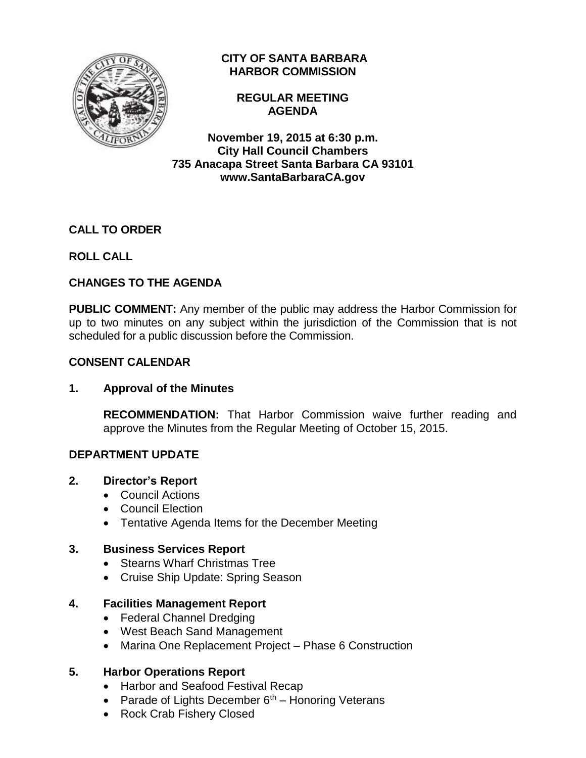

## **CITY OF SANTA BARBARA HARBOR COMMISSION**

**REGULAR MEETING AGENDA**

**November 19, 2015 at 6:30 p.m. City Hall Council Chambers 735 Anacapa Street Santa Barbara CA 93101 www.SantaBarbaraCA.gov**

# **CALL TO ORDER**

# **ROLL CALL**

# **CHANGES TO THE AGENDA**

**PUBLIC COMMENT:** Any member of the public may address the Harbor Commission for up to two minutes on any subject within the jurisdiction of the Commission that is not scheduled for a public discussion before the Commission.

## **CONSENT CALENDAR**

## **1. Approval of the Minutes**

**RECOMMENDATION:** That Harbor Commission waive further reading and approve the Minutes from the Regular Meeting of October 15, 2015.

## **DEPARTMENT UPDATE**

### **2. Director's Report**

- Council Actions
- Council Election
- Tentative Agenda Items for the December Meeting

### **3. Business Services Report**

- Stearns Wharf Christmas Tree
- Cruise Ship Update: Spring Season

## **4. Facilities Management Report**

- Federal Channel Dredging
- West Beach Sand Management
- Marina One Replacement Project Phase 6 Construction

### **5. Harbor Operations Report**

- Harbor and Seafood Festival Recap
- Parade of Lights December  $6<sup>th</sup>$  Honoring Veterans
- Rock Crab Fishery Closed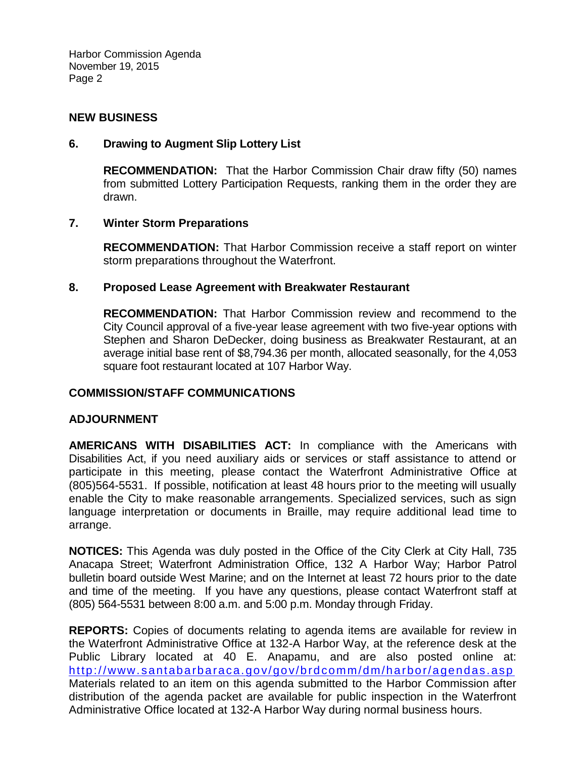Harbor Commission Agenda November 19, 2015 Page 2

### **NEW BUSINESS**

### **6. Drawing to Augment Slip Lottery List**

**RECOMMENDATION:** That the Harbor Commission Chair draw fifty (50) names from submitted Lottery Participation Requests, ranking them in the order they are drawn.

### **7. Winter Storm Preparations**

**RECOMMENDATION:** That Harbor Commission receive a staff report on winter storm preparations throughout the Waterfront.

### **8. Proposed Lease Agreement with Breakwater Restaurant**

**RECOMMENDATION:** That Harbor Commission review and recommend to the City Council approval of a five-year lease agreement with two five-year options with Stephen and Sharon DeDecker, doing business as Breakwater Restaurant, at an average initial base rent of \$8,794.36 per month, allocated seasonally, for the 4,053 square foot restaurant located at 107 Harbor Way.

#### **COMMISSION/STAFF COMMUNICATIONS**

#### **ADJOURNMENT**

**AMERICANS WITH DISABILITIES ACT:** In compliance with the Americans with Disabilities Act, if you need auxiliary aids or services or staff assistance to attend or participate in this meeting, please contact the Waterfront Administrative Office at (805)564-5531. If possible, notification at least 48 hours prior to the meeting will usually enable the City to make reasonable arrangements. Specialized services, such as sign language interpretation or documents in Braille, may require additional lead time to arrange.

**NOTICES:** This Agenda was duly posted in the Office of the City Clerk at City Hall, 735 Anacapa Street; Waterfront Administration Office, 132 A Harbor Way; Harbor Patrol bulletin board outside West Marine; and on the Internet at least 72 hours prior to the date and time of the meeting. If you have any questions, please contact Waterfront staff at (805) 564-5531 between 8:00 a.m. and 5:00 p.m. Monday through Friday.

**REPORTS:** Copies of documents relating to agenda items are available for review in the Waterfront Administrative Office at 132-A Harbor Way, at the reference desk at the Public Library located at 40 E. Anapamu, and are also posted online at: <http://www.santabarbaraca.gov/gov/brdcomm/dm/harbor/agendas.asp> Materials related to an item on this agenda submitted to the Harbor Commission after distribution of the agenda packet are available for public inspection in the Waterfront Administrative Office located at 132-A Harbor Way during normal business hours.